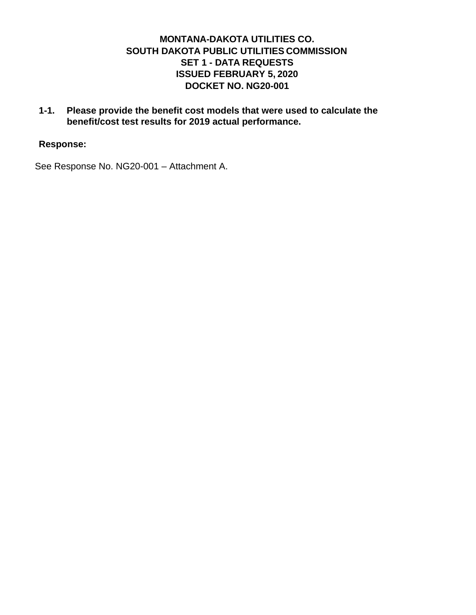# **MONTANA-DAKOTA UTILITIES CO. SOUTH DAKOTA PUBLIC UTILITIES COMMISSION SET 1 - DATA REQUESTS ISSUED FEBRUARY 5, 2020 DOCKET NO. NG20-001**

**1-1. Please provide the benefit cost models that were used to calculate the benefit/cost test results for 2019 actual performance.** 

#### **Response:**

See Response No. NG20-001 – Attachment A.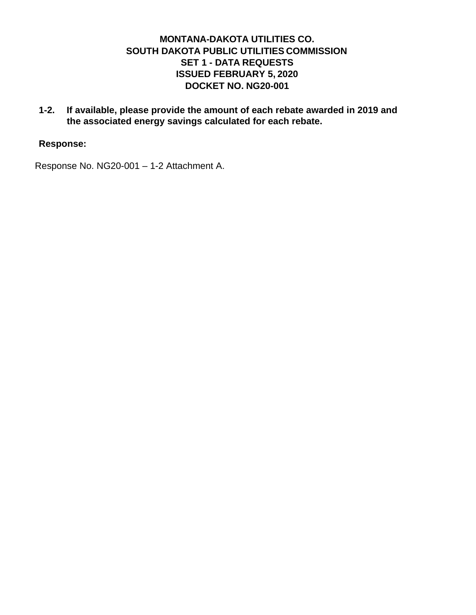# **MONTANA-DAKOTA UTILITIES CO. SOUTH DAKOTA PUBLIC UTILITIES COMMISSION SET 1 - DATA REQUESTS ISSUED FEBRUARY 5, 2020 DOCKET NO. NG20-001**

**1-2. If available, please provide the amount of each rebate awarded in 2019 and the associated energy savings calculated for each rebate.** 

### **Response:**

Response No. NG20-001 – 1-2 Attachment A.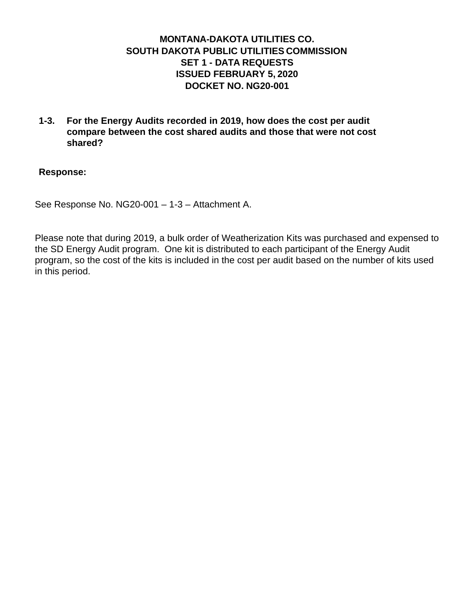# **MONTANA-DAKOTA UTILITIES CO. SOUTH DAKOTA PUBLIC UTILITIES COMMISSION SET 1 - DATA REQUESTS ISSUED FEBRUARY 5, 2020 DOCKET NO. NG20-001**

**1-3. For the Energy Audits recorded in 2019, how does the cost per audit compare between the cost shared audits and those that were not cost shared?** 

#### **Response:**

See Response No. NG20-001 – 1-3 – Attachment A.

Please note that during 2019, a bulk order of Weatherization Kits was purchased and expensed to the SD Energy Audit program. One kit is distributed to each participant of the Energy Audit program, so the cost of the kits is included in the cost per audit based on the number of kits used in this period.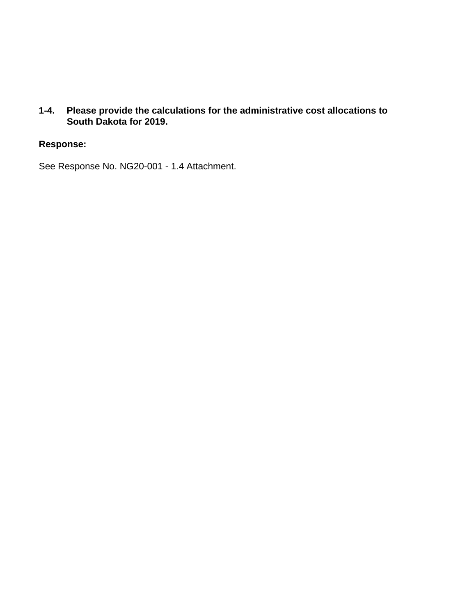**1-4. Please provide the calculations for the administrative cost allocations to South Dakota for 2019.** 

#### **Response:**

See Response No. NG20-001 - 1.4 Attachment.